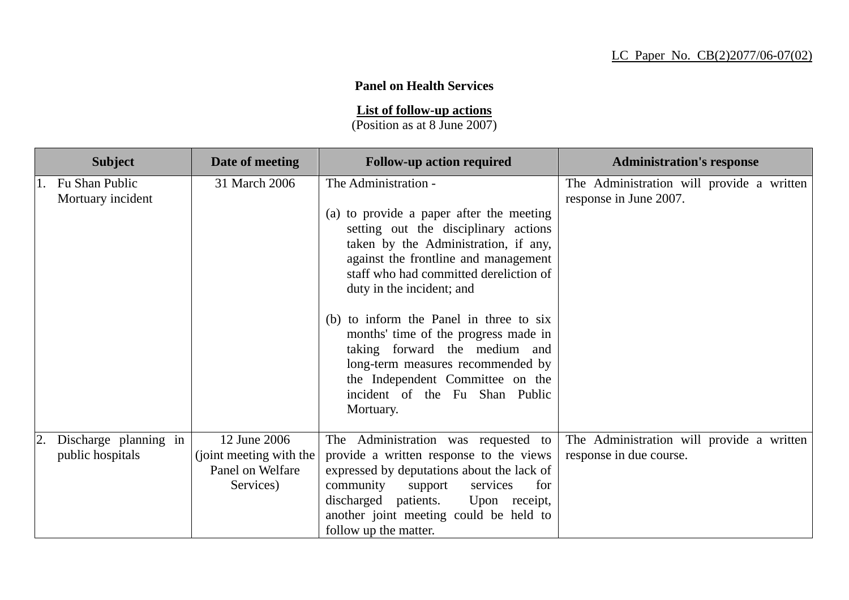## **Panel on Health Services**

**List of follow-up actions**

(Position as at 8 June 2007)

| <b>Subject</b>                            | Date of meeting                                                          | <b>Follow-up action required</b>                                                                                                                                                                                                                                                                                                                                                                                                                                                                            | <b>Administration's response</b>                                     |
|-------------------------------------------|--------------------------------------------------------------------------|-------------------------------------------------------------------------------------------------------------------------------------------------------------------------------------------------------------------------------------------------------------------------------------------------------------------------------------------------------------------------------------------------------------------------------------------------------------------------------------------------------------|----------------------------------------------------------------------|
| 1. Fu Shan Public<br>Mortuary incident    | 31 March 2006                                                            | The Administration -<br>(a) to provide a paper after the meeting<br>setting out the disciplinary actions<br>taken by the Administration, if any,<br>against the frontline and management<br>staff who had committed dereliction of<br>duty in the incident; and<br>(b) to inform the Panel in three to six<br>months' time of the progress made in<br>taking forward the medium and<br>long-term measures recommended by<br>the Independent Committee on the<br>incident of the Fu Shan Public<br>Mortuary. | The Administration will provide a written<br>response in June 2007.  |
| Discharge planning in<br>public hospitals | 12 June 2006<br>(joint meeting with the<br>Panel on Welfare<br>Services) | The Administration was requested to<br>provide a written response to the views<br>expressed by deputations about the lack of<br>community<br>for<br>support<br>services<br>discharged patients.<br>Upon receipt,<br>another joint meeting could be held to<br>follow up the matter.                                                                                                                                                                                                                         | The Administration will provide a written<br>response in due course. |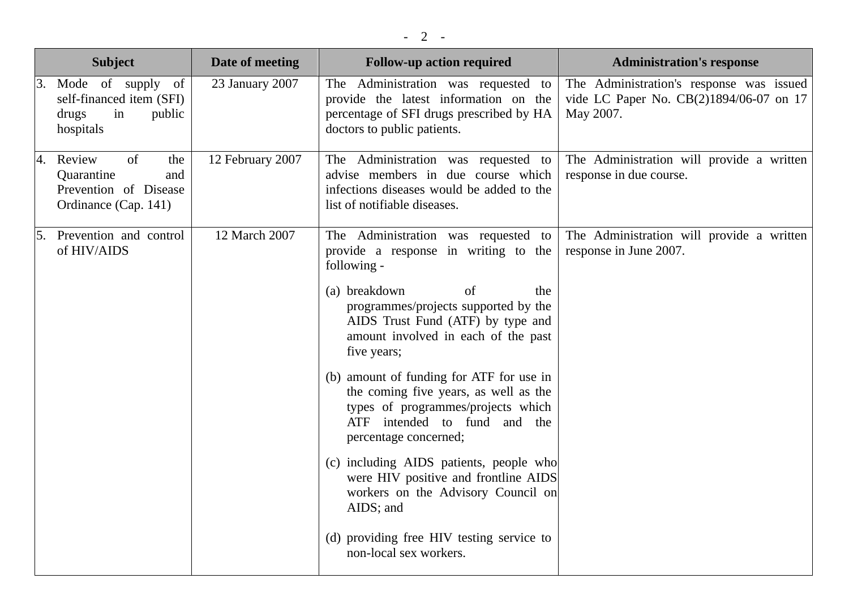|    | <b>Subject</b>                                                                               | Date of meeting  | <b>Follow-up action required</b>                                                                                                                                                 | <b>Administration's response</b>                                                                 |
|----|----------------------------------------------------------------------------------------------|------------------|----------------------------------------------------------------------------------------------------------------------------------------------------------------------------------|--------------------------------------------------------------------------------------------------|
| 3. | Mode of supply of<br>self-financed item (SFI)<br>drugs<br>in<br>public<br>hospitals          | 23 January 2007  | The Administration was requested to<br>provide the latest information on the<br>percentage of SFI drugs prescribed by HA<br>doctors to public patients.                          | The Administration's response was issued<br>vide LC Paper No. CB(2)1894/06-07 on 17<br>May 2007. |
|    | of<br>4. Review<br>the<br>Quarantine<br>and<br>Prevention of Disease<br>Ordinance (Cap. 141) | 12 February 2007 | The Administration was requested to<br>advise members in due course which<br>infections diseases would be added to the<br>list of notifiable diseases.                           | The Administration will provide a written<br>response in due course.                             |
|    | 5. Prevention and control<br>of HIV/AIDS                                                     | 12 March 2007    | The Administration was requested to<br>provide a response in writing to the<br>following -                                                                                       | The Administration will provide a written<br>response in June 2007.                              |
|    |                                                                                              |                  | (a) breakdown<br>of<br>the<br>programmes/projects supported by the<br>AIDS Trust Fund (ATF) by type and<br>amount involved in each of the past<br>five years;                    |                                                                                                  |
|    |                                                                                              |                  | (b) amount of funding for ATF for use in<br>the coming five years, as well as the<br>types of programmes/projects which<br>ATF intended to fund and the<br>percentage concerned; |                                                                                                  |
|    |                                                                                              |                  | (c) including AIDS patients, people who<br>were HIV positive and frontline AIDS<br>workers on the Advisory Council on<br>AIDS; and                                               |                                                                                                  |
|    |                                                                                              |                  | (d) providing free HIV testing service to<br>non-local sex workers.                                                                                                              |                                                                                                  |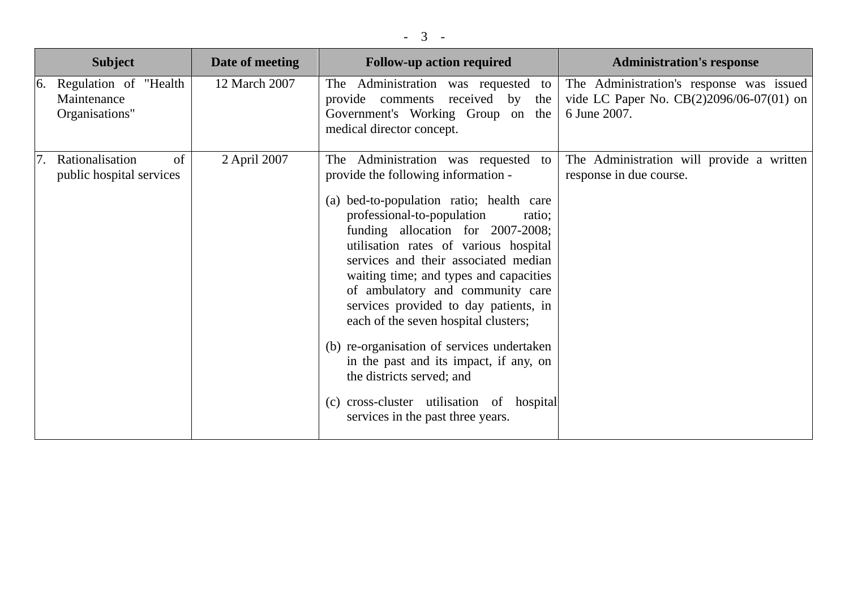| <b>Subject</b>                                            | Date of meeting    | <b>Follow-up action required</b>                                                                                                                                                                                                                                                                                                                                                                                                                                                                                                                                                                                                                              | <b>Administration's response</b>                                                                     |
|-----------------------------------------------------------|--------------------|---------------------------------------------------------------------------------------------------------------------------------------------------------------------------------------------------------------------------------------------------------------------------------------------------------------------------------------------------------------------------------------------------------------------------------------------------------------------------------------------------------------------------------------------------------------------------------------------------------------------------------------------------------------|------------------------------------------------------------------------------------------------------|
| 6. Regulation of "Health<br>Maintenance<br>Organisations" | 12 March 2007      | The Administration was requested to<br>provide comments received by the<br>Government's Working Group on the<br>medical director concept.                                                                                                                                                                                                                                                                                                                                                                                                                                                                                                                     | The Administration's response was issued<br>vide LC Paper No. CB(2)2096/06-07(01) on<br>6 June 2007. |
| Rationalisation<br>public hospital services               | of<br>2 April 2007 | The Administration was requested<br>to<br>provide the following information -<br>(a) bed-to-population ratio; health care<br>professional-to-population<br>ratio;<br>funding allocation for 2007-2008;<br>utilisation rates of various hospital<br>services and their associated median<br>waiting time; and types and capacities<br>of ambulatory and community care<br>services provided to day patients, in<br>each of the seven hospital clusters;<br>(b) re-organisation of services undertaken<br>in the past and its impact, if any, on<br>the districts served; and<br>(c) cross-cluster utilisation of hospital<br>services in the past three years. | The Administration will provide a written<br>response in due course.                                 |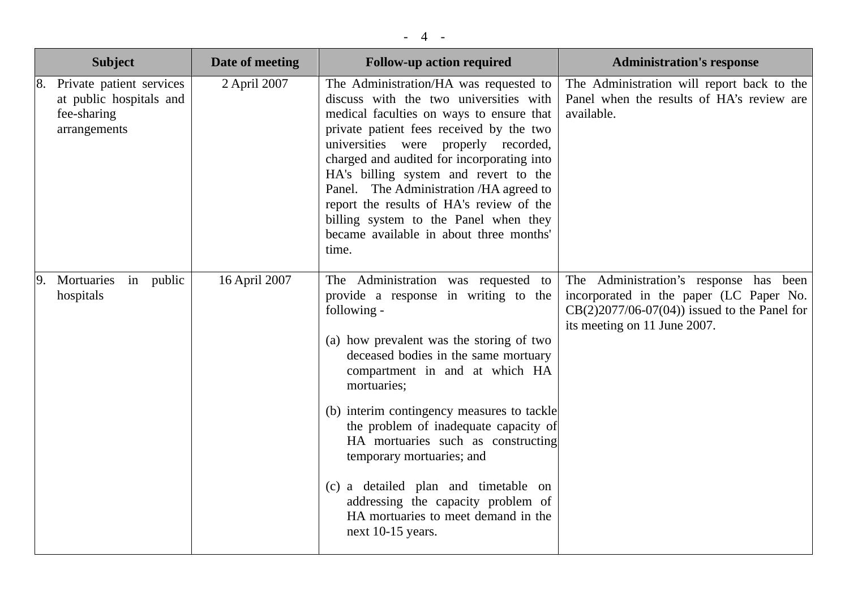| <b>Subject</b>                                                                     | Date of meeting | <b>Follow-up action required</b>                                                                                                                                                                                                                                                                                                                                                                                                                                                                                                       | <b>Administration's response</b>                                                                                                                                    |
|------------------------------------------------------------------------------------|-----------------|----------------------------------------------------------------------------------------------------------------------------------------------------------------------------------------------------------------------------------------------------------------------------------------------------------------------------------------------------------------------------------------------------------------------------------------------------------------------------------------------------------------------------------------|---------------------------------------------------------------------------------------------------------------------------------------------------------------------|
| Private patient services<br>at public hospitals and<br>fee-sharing<br>arrangements | 2 April 2007    | The Administration/HA was requested to<br>discuss with the two universities with<br>medical faculties on ways to ensure that<br>private patient fees received by the two<br>universities were<br>properly recorded,<br>charged and audited for incorporating into<br>HA's billing system and revert to the<br>Panel. The Administration /HA agreed to<br>report the results of HA's review of the<br>billing system to the Panel when they<br>became available in about three months'<br>time.                                         | The Administration will report back to the<br>Panel when the results of HA's review are<br>available.                                                               |
| Mortuaries<br>in public<br>hospitals                                               | 16 April 2007   | The Administration was requested<br>to<br>provide a response in writing to the<br>following -<br>(a) how prevalent was the storing of two<br>deceased bodies in the same mortuary<br>compartment in and at which HA<br>mortuaries;<br>(b) interim contingency measures to tackle<br>the problem of inadequate capacity of<br>HA mortuaries such as constructing<br>temporary mortuaries; and<br>(c) a detailed plan and timetable on<br>addressing the capacity problem of<br>HA mortuaries to meet demand in the<br>next 10-15 years. | The Administration's response has been<br>incorporated in the paper (LC Paper No.<br>$CB(2)2077/06-07(04))$ issued to the Panel for<br>its meeting on 11 June 2007. |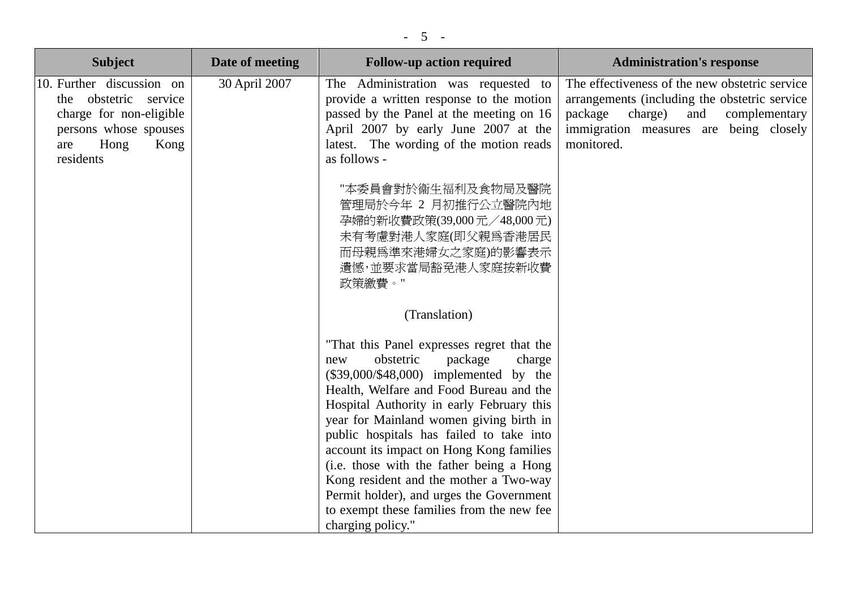| <b>Subject</b>                                                                                                                             | Date of meeting | <b>Follow-up action required</b>                                                                                                                                                                                                                                                                                                                                                                                                                                                                                                                               | <b>Administration's response</b>                                                                                                                                                                      |
|--------------------------------------------------------------------------------------------------------------------------------------------|-----------------|----------------------------------------------------------------------------------------------------------------------------------------------------------------------------------------------------------------------------------------------------------------------------------------------------------------------------------------------------------------------------------------------------------------------------------------------------------------------------------------------------------------------------------------------------------------|-------------------------------------------------------------------------------------------------------------------------------------------------------------------------------------------------------|
| 10. Further discussion on<br>the obstetric service<br>charge for non-eligible<br>persons whose spouses<br>Hong<br>Kong<br>are<br>residents | 30 April 2007   | The Administration was requested to<br>provide a written response to the motion<br>passed by the Panel at the meeting on 16<br>April 2007 by early June 2007 at the<br>latest. The wording of the motion reads<br>as follows -                                                                                                                                                                                                                                                                                                                                 | The effectiveness of the new obstetric service<br>arrangements (including the obstetric service<br>package<br>charge)<br>and<br>complementary<br>immigration measures are being closely<br>monitored. |
|                                                                                                                                            |                 | "本委員會對於衞生福利及食物局及醫院<br>管理局於今年 2 月初推行公立醫院內地<br>孕婦的新收費政策(39,000元/48,000元)<br>未有考慮對港人家庭(即父親爲香港居民<br>而母親爲準來港婦女之家庭)的影響表示<br>遺憾,並要求當局豁免港人家庭按新收費<br>政策繳費。"                                                                                                                                                                                                                                                                                                                                                                                                             |                                                                                                                                                                                                       |
|                                                                                                                                            |                 | (Translation)                                                                                                                                                                                                                                                                                                                                                                                                                                                                                                                                                  |                                                                                                                                                                                                       |
|                                                                                                                                            |                 | "That this Panel expresses regret that the<br>obstetric<br>package<br>charge<br>new<br>$(\$39,000/\$48,000)$ implemented by the<br>Health, Welfare and Food Bureau and the<br>Hospital Authority in early February this<br>year for Mainland women giving birth in<br>public hospitals has failed to take into<br>account its impact on Hong Kong families<br>(i.e. those with the father being a Hong<br>Kong resident and the mother a Two-way<br>Permit holder), and urges the Government<br>to exempt these families from the new fee<br>charging policy." |                                                                                                                                                                                                       |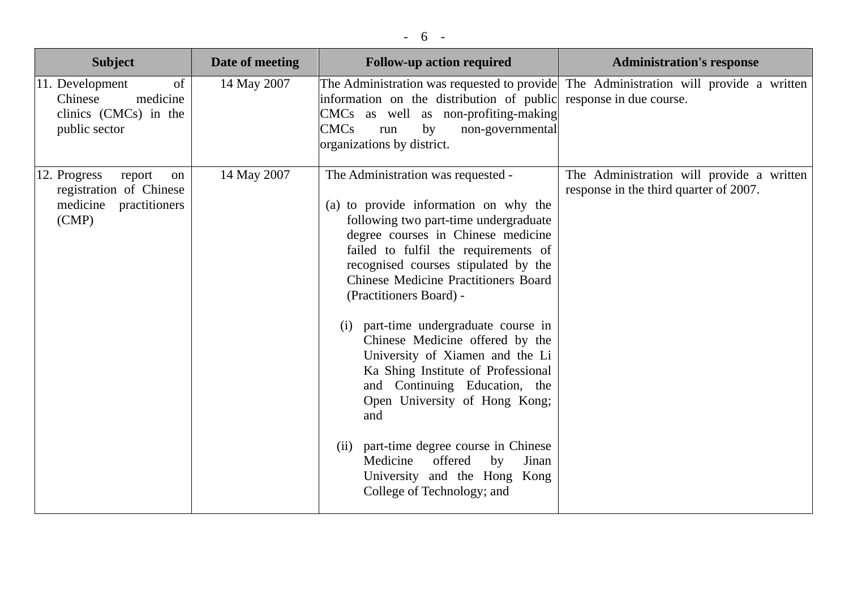| <b>Subject</b>                                                                                    | Date of meeting | <b>Follow-up action required</b>                                                                                                                                                                                                                                                                                                                                                                                                                                                                                                                                                                                                                                                                  | <b>Administration's response</b>                                                                                 |
|---------------------------------------------------------------------------------------------------|-----------------|---------------------------------------------------------------------------------------------------------------------------------------------------------------------------------------------------------------------------------------------------------------------------------------------------------------------------------------------------------------------------------------------------------------------------------------------------------------------------------------------------------------------------------------------------------------------------------------------------------------------------------------------------------------------------------------------------|------------------------------------------------------------------------------------------------------------------|
| 11. Development<br><sub>of</sub><br>medicine<br>Chinese<br>clinics (CMCs) in the<br>public sector | 14 May 2007     | information on the distribution of public<br>CMCs as well as non-profiting-making<br><b>CMCs</b><br>by<br>non-governmental<br>run<br>organizations by district.                                                                                                                                                                                                                                                                                                                                                                                                                                                                                                                                   | The Administration was requested to provide The Administration will provide a written<br>response in due course. |
| 12. Progress<br>report<br>on<br>registration of Chinese<br>medicine<br>practitioners<br>(CMP)     | 14 May 2007     | The Administration was requested -<br>(a) to provide information on why the<br>following two part-time undergraduate<br>degree courses in Chinese medicine<br>failed to fulfil the requirements of<br>recognised courses stipulated by the<br><b>Chinese Medicine Practitioners Board</b><br>(Practitioners Board) -<br>(i) part-time undergraduate course in<br>Chinese Medicine offered by the<br>University of Xiamen and the Li<br>Ka Shing Institute of Professional<br>and Continuing Education, the<br>Open University of Hong Kong;<br>and<br>(ii) part-time degree course in Chinese<br>Medicine<br>offered<br>by<br>Jinan<br>University and the Hong Kong<br>College of Technology; and | The Administration will provide a written<br>response in the third quarter of 2007.                              |